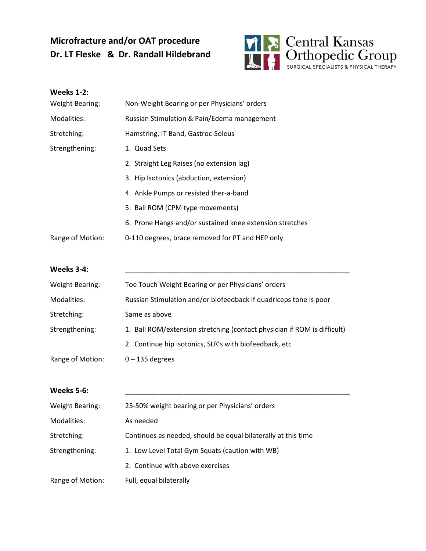## **Microfracture and/or OAT procedure Dr. LT Fleske & Dr. Randall Hildebrand**



# **Weeks 1-2:** Weight Bearing: Non-Weight Bearing or per Physicians' orders Modalities: Russian Stimulation & Pain/Edema management Stretching: Hamstring, IT Band, Gastroc-Soleus Strengthening: 1. Quad Sets 2. Straight Leg Raises (no extension lag) 3. Hip Isotonics (abduction, extension) 4. Ankle Pumps or resisted ther-a-band 5. Ball ROM (CPM type movements) 6. Prone Hangs and/or sustained knee extension stretches Range of Motion: 0-110 degrees, brace removed for PT and HEP only

#### **Weeks 3-4: \_\_\_\_\_\_\_\_\_\_\_\_\_\_\_\_\_\_\_\_\_\_\_\_\_\_\_\_\_\_\_\_\_\_\_\_\_\_\_\_\_\_\_\_\_\_\_\_\_\_\_\_\_\_**

| Weight Bearing:  | Toe Touch Weight Bearing or per Physicians' orders                       |
|------------------|--------------------------------------------------------------------------|
| Modalities:      | Russian Stimulation and/or biofeedback if quadriceps tone is poor        |
| Stretching:      | Same as above                                                            |
| Strengthening:   | 1. Ball ROM/extension stretching (contact physician if ROM is difficult) |
|                  | 2. Continue hip isotonics, SLR's with biofeedback, etc                   |
| Range of Motion: | $0 - 135$ degrees                                                        |

| Weeks 5-6:       |                                                               |
|------------------|---------------------------------------------------------------|
| Weight Bearing:  | 25-50% weight bearing or per Physicians' orders               |
| Modalities:      | As needed                                                     |
| Stretching:      | Continues as needed, should be equal bilaterally at this time |
| Strengthening:   | 1. Low Level Total Gym Squats (caution with WB)               |
|                  | 2. Continue with above exercises                              |
| Range of Motion: | Full, equal bilaterally                                       |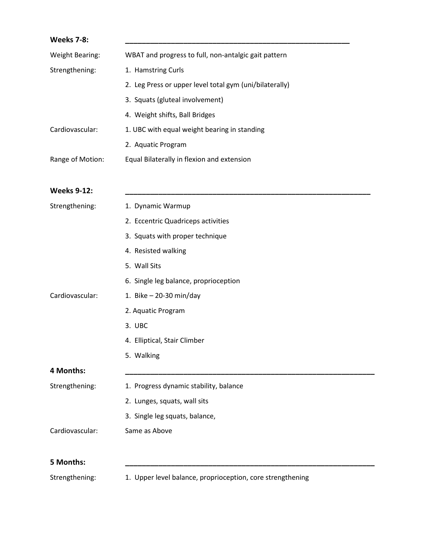| <b>Weeks 7-8:</b>  |                                                            |
|--------------------|------------------------------------------------------------|
| Weight Bearing:    | WBAT and progress to full, non-antalgic gait pattern       |
| Strengthening:     | 1. Hamstring Curls                                         |
|                    | 2. Leg Press or upper level total gym (uni/bilaterally)    |
|                    | 3. Squats (gluteal involvement)                            |
|                    | 4. Weight shifts, Ball Bridges                             |
| Cardiovascular:    | 1. UBC with equal weight bearing in standing               |
|                    | 2. Aquatic Program                                         |
| Range of Motion:   | Equal Bilaterally in flexion and extension                 |
| <b>Weeks 9-12:</b> |                                                            |
| Strengthening:     | 1. Dynamic Warmup                                          |
|                    | 2. Eccentric Quadriceps activities                         |
|                    | 3. Squats with proper technique                            |
|                    | 4. Resisted walking                                        |
|                    | 5. Wall Sits                                               |
|                    | 6. Single leg balance, proprioception                      |
| Cardiovascular:    | 1. Bike $-$ 20-30 min/day                                  |
|                    | 2. Aquatic Program                                         |
|                    | 3. UBC                                                     |
|                    | 4. Elliptical, Stair Climber                               |
|                    | 5. Walking                                                 |
| 4 Months:          |                                                            |
| Strengthening:     | 1. Progress dynamic stability, balance                     |
|                    | 2. Lunges, squats, wall sits                               |
|                    | 3. Single leg squats, balance,                             |
| Cardiovascular:    | Same as Above                                              |
| 5 Months:          |                                                            |
| Strengthening:     | 1. Upper level balance, proprioception, core strengthening |